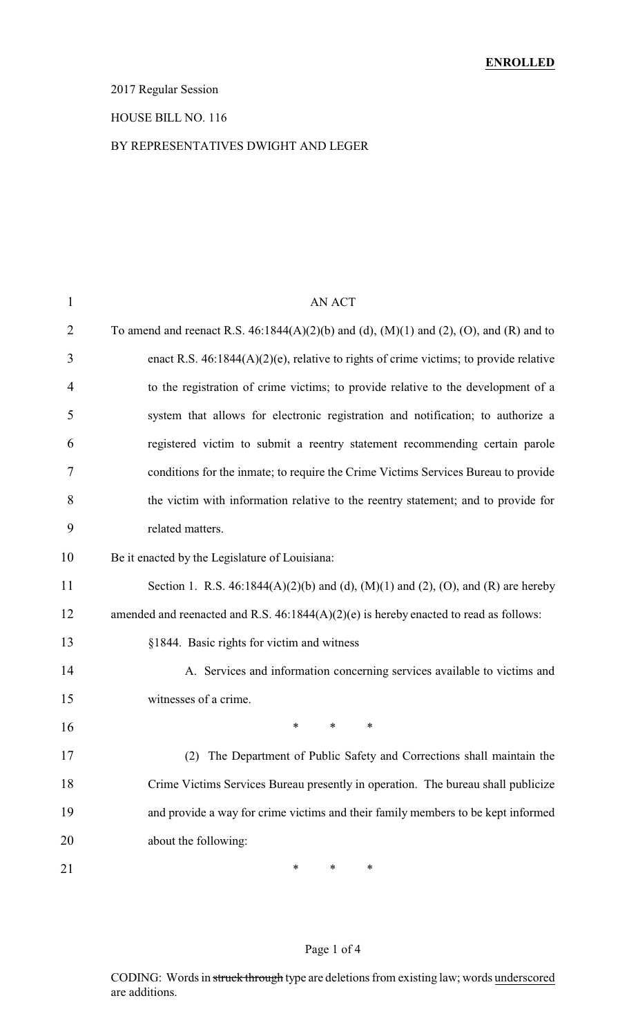### 2017 Regular Session

#### HOUSE BILL NO. 116

### BY REPRESENTATIVES DWIGHT AND LEGER

| $\mathbf{1}$   | <b>AN ACT</b>                                                                                    |
|----------------|--------------------------------------------------------------------------------------------------|
| $\overline{2}$ | To amend and reenact R.S. $46:1844(A)(2)(b)$ and (d), $(M)(1)$ and (2), $(O)$ , and $(R)$ and to |
| 3              | enact R.S. $46:1844(A)(2)(e)$ , relative to rights of crime victims; to provide relative         |
| $\overline{4}$ | to the registration of crime victims; to provide relative to the development of a                |
| 5              | system that allows for electronic registration and notification; to authorize a                  |
| 6              | registered victim to submit a reentry statement recommending certain parole                      |
| 7              | conditions for the inmate; to require the Crime Victims Services Bureau to provide               |
| 8              | the victim with information relative to the reentry statement; and to provide for                |
| 9              | related matters.                                                                                 |
| 10             | Be it enacted by the Legislature of Louisiana:                                                   |
| 11             | Section 1. R.S. 46:1844(A)(2)(b) and (d), (M)(1) and (2), (O), and (R) are hereby                |
| 12             | amended and reenacted and R.S. $46:1844(A)(2)(e)$ is hereby enacted to read as follows:          |
| 13             | §1844. Basic rights for victim and witness                                                       |
| 14             | A. Services and information concerning services available to victims and                         |
| 15             | witnesses of a crime.                                                                            |
| 16             | *<br>*<br>*                                                                                      |
| 17             | The Department of Public Safety and Corrections shall maintain the<br>(2)                        |
| 18             | Crime Victims Services Bureau presently in operation. The bureau shall publicize                 |
| 19             | and provide a way for crime victims and their family members to be kept informed                 |
| 20             | about the following:                                                                             |
| 21             | ∗<br>∗<br>∗                                                                                      |

### Page 1 of 4

CODING: Words in struck through type are deletions from existing law; words underscored are additions.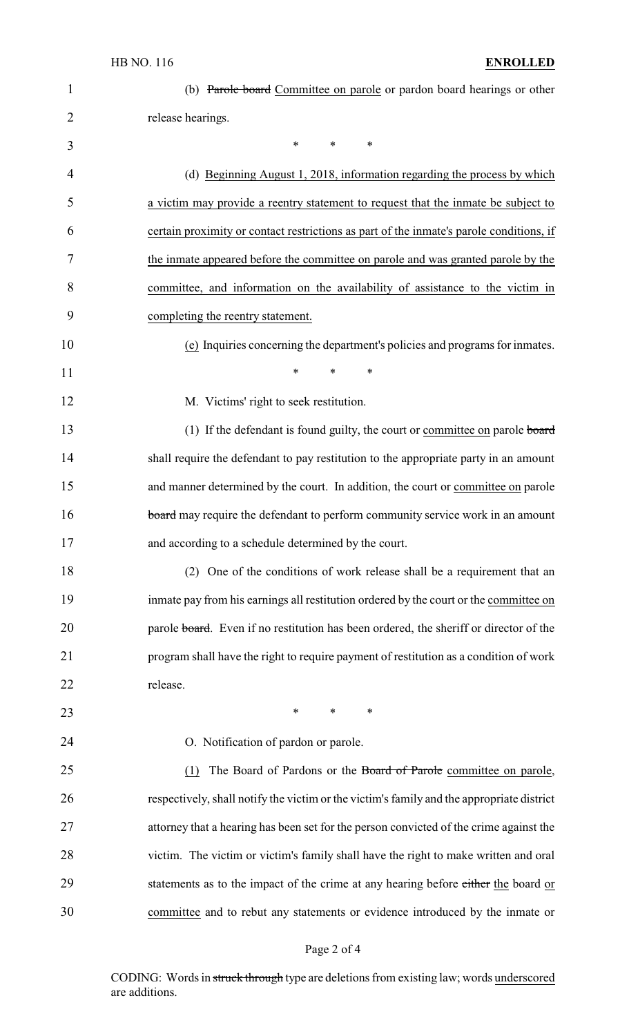| $\mathbf{1}$   | (b) Parole board Committee on parole or pardon board hearings or other                    |
|----------------|-------------------------------------------------------------------------------------------|
| $\overline{2}$ | release hearings.                                                                         |
| 3              | $\ast$<br>*<br>∗                                                                          |
| 4              | (d) Beginning August 1, 2018, information regarding the process by which                  |
| 5              | a victim may provide a reentry statement to request that the inmate be subject to         |
| 6              | certain proximity or contact restrictions as part of the inmate's parole conditions, if   |
| 7              | the inmate appeared before the committee on parole and was granted parole by the          |
| 8              | committee, and information on the availability of assistance to the victim in             |
| 9              | completing the reentry statement.                                                         |
| 10             | (e) Inquiries concerning the department's policies and programs for inmates.              |
| 11             | $\ast$<br>$\ast$<br>*                                                                     |
| 12             | M. Victims' right to seek restitution.                                                    |
| 13             | (1) If the defendant is found guilty, the court or committee on parole board              |
| 14             | shall require the defendant to pay restitution to the appropriate party in an amount      |
| 15             | and manner determined by the court. In addition, the court or committee on parole         |
| 16             | board may require the defendant to perform community service work in an amount            |
| 17             | and according to a schedule determined by the court.                                      |
| 18             | (2) One of the conditions of work release shall be a requirement that an                  |
| 19             | inmate pay from his earnings all restitution ordered by the court or the committee on     |
| 20             | parole board. Even if no restitution has been ordered, the sheriff or director of the     |
| 21             | program shall have the right to require payment of restitution as a condition of work     |
| 22             | release.                                                                                  |
| 23             | $\ast$<br>*<br>∗                                                                          |
| 24             | O. Notification of pardon or parole.                                                      |
| 25             | The Board of Pardons or the Board of Parole committee on parole,<br>(1)                   |
| 26             | respectively, shall notify the victim or the victim's family and the appropriate district |
| 27             | attorney that a hearing has been set for the person convicted of the crime against the    |
| 28             | victim. The victim or victim's family shall have the right to make written and oral       |
| 29             | statements as to the impact of the crime at any hearing before either the board or        |
| 30             | committee and to rebut any statements or evidence introduced by the inmate or             |

# Page 2 of 4

CODING: Words in struck through type are deletions from existing law; words underscored are additions.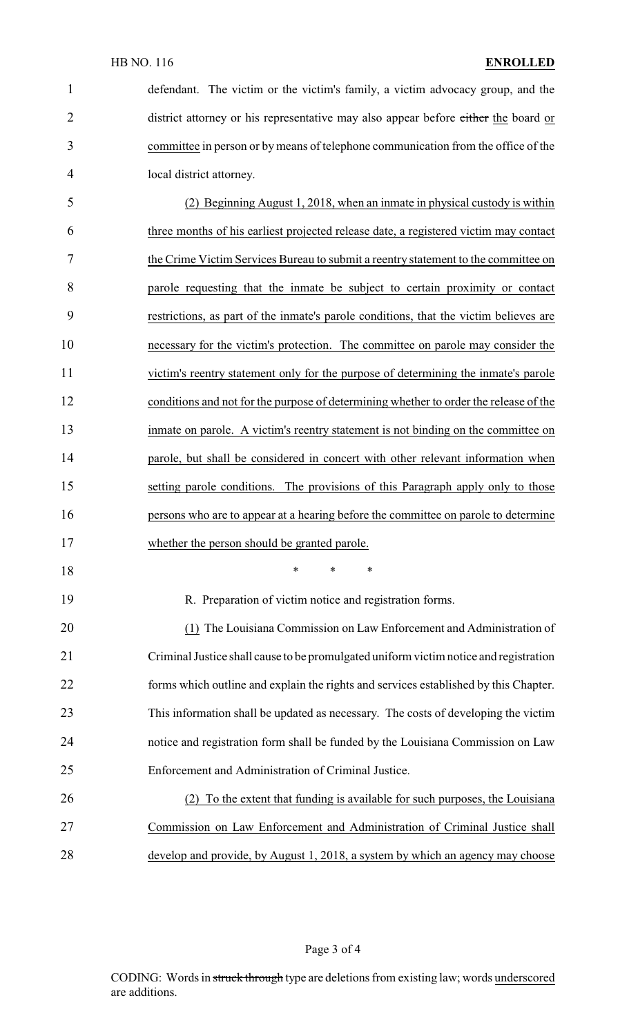| $\mathbf{1}$   | defendant. The victim or the victim's family, a victim advocacy group, and the        |
|----------------|---------------------------------------------------------------------------------------|
| $\overline{2}$ | district attorney or his representative may also appear before either the board or    |
| 3              | committee in person or by means of telephone communication from the office of the     |
| 4              | local district attorney.                                                              |
| 5              | (2) Beginning August 1, 2018, when an inmate in physical custody is within            |
| 6              | three months of his earliest projected release date, a registered victim may contact  |
| 7              | the Crime Victim Services Bureau to submit a reentry statement to the committee on    |
| 8              | parole requesting that the inmate be subject to certain proximity or contact          |
| 9              | restrictions, as part of the inmate's parole conditions, that the victim believes are |
| 10             | necessary for the victim's protection. The committee on parole may consider the       |
| 11             | victim's reentry statement only for the purpose of determining the inmate's parole    |
| 12             | conditions and not for the purpose of determining whether to order the release of the |
| 13             | inmate on parole. A victim's reentry statement is not binding on the committee on     |
| 14             | parole, but shall be considered in concert with other relevant information when       |
| 15             | setting parole conditions. The provisions of this Paragraph apply only to those       |
| 16             | persons who are to appear at a hearing before the committee on parole to determine    |
| 17             | whether the person should be granted parole.                                          |
| 18             | $\ast$<br>$\ast$<br>∗                                                                 |

R. Preparation of victim notice and registration forms.

20 (1) The Louisiana Commission on Law Enforcement and Administration of Criminal Justice shall cause to be promulgated uniform victim notice and registration forms which outline and explain the rights and services established by this Chapter. This information shall be updated as necessary. The costs of developing the victim notice and registration form shall be funded by the Louisiana Commission on Law Enforcement and Administration of Criminal Justice.

 (2) To the extent that funding is available for such purposes, the Louisiana Commission on Law Enforcement and Administration of Criminal Justice shall develop and provide, by August 1, 2018, a system by which an agency may choose